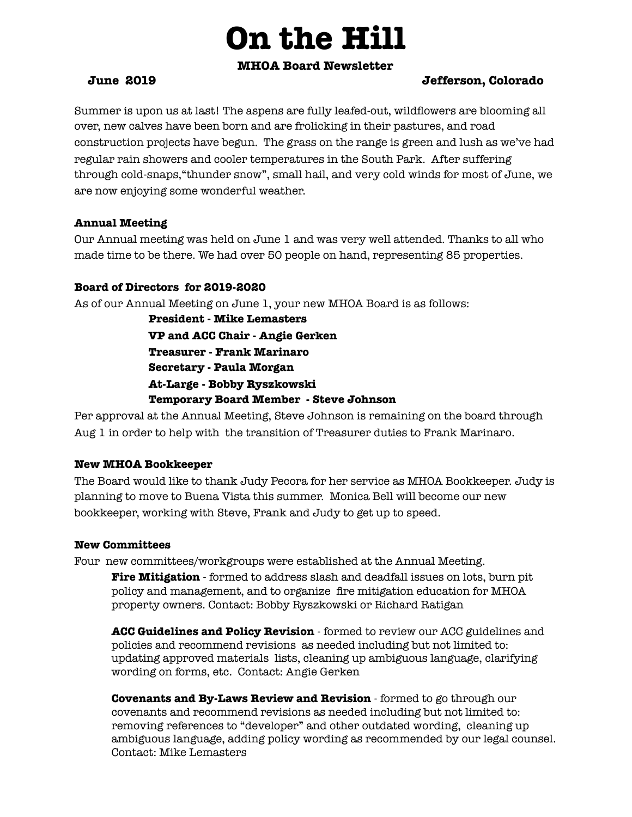# **On the Hill**

## **MHOA Board Newsletter**

# **June 2019 Jefferson, Colorado**

Summer is upon us at last! The aspens are fully leafed-out, wildflowers are blooming all over, new calves have been born and are frolicking in their pastures, and road construction projects have begun. The grass on the range is green and lush as we've had regular rain showers and cooler temperatures in the South Park. After suffering through cold-snaps,"thunder snow", small hail, and very cold winds for most of June, we are now enjoying some wonderful weather.

## **Annual Meeting**

Our Annual meeting was held on June 1 and was very well attended. Thanks to all who made time to be there. We had over 50 people on hand, representing 85 properties.

# **Board of Directors for 2019-2020**

As of our Annual Meeting on June 1, your new MHOA Board is as follows:

**President - Mike Lemasters VP and ACC Chair - Angie Gerken Treasurer - Frank Marinaro Secretary - Paula Morgan At-Large - Bobby Ryszkowski Temporary Board Member - Steve Johnson** 

Per approval at the Annual Meeting, Steve Johnson is remaining on the board through Aug 1 in order to help with the transition of Treasurer duties to Frank Marinaro.

# **New MHOA Bookkeeper**

The Board would like to thank Judy Pecora for her service as MHOA Bookkeeper. Judy is planning to move to Buena Vista this summer. Monica Bell will become our new bookkeeper, working with Steve, Frank and Judy to get up to speed.

# **New Committees**

Four new committees/workgroups were established at the Annual Meeting. **Fire Mitigation** - formed to address slash and deadfall issues on lots, burn pit policy and management, and to organize fire mitigation education for MHOA property owners. Contact: Bobby Ryszkowski or Richard Ratigan

**ACC Guidelines and Policy Revision** - formed to review our ACC guidelines and policies and recommend revisions as needed including but not limited to: updating approved materials lists, cleaning up ambiguous language, clarifying wording on forms, etc. Contact: Angie Gerken

**Covenants and By-Laws Review and Revision** - formed to go through our covenants and recommend revisions as needed including but not limited to: removing references to "developer" and other outdated wording, cleaning up ambiguous language, adding policy wording as recommended by our legal counsel. Contact: Mike Lemasters